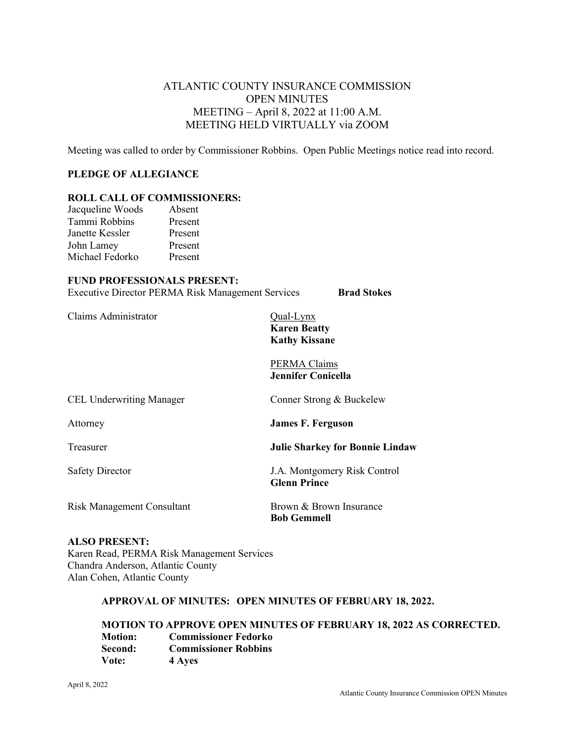# ATLANTIC COUNTY INSURANCE COMMISSION OPEN MINUTES MEETING – April 8, 2022 at 11:00 A.M. MEETING HELD VIRTUALLY via ZOOM

Meeting was called to order by Commissioner Robbins. Open Public Meetings notice read into record.

#### **PLEDGE OF ALLEGIANCE**

#### **ROLL CALL OF COMMISSIONERS:**

| Jacqueline Woods | Absent  |
|------------------|---------|
| Tammi Robbins    | Present |
| Janette Kessler  | Present |
| John Lamey       | Present |
| Michael Fedorko  | Present |
|                  |         |

#### **FUND PROFESSIONALS PRESENT:**

Executive Director PERMA Risk Management Services **Brad Stokes**

Claims Administrator Qual-Lynx

**Karen Beatty Kathy Kissane**

PERMA Claims **Jennifer Conicella**

| <b>CEL Underwriting Manager</b>   | Conner Strong & Buckelew                            |
|-----------------------------------|-----------------------------------------------------|
| Attorney                          | <b>James F. Ferguson</b>                            |
| Treasurer                         | <b>Julie Sharkey for Bonnie Lindaw</b>              |
| <b>Safety Director</b>            | J.A. Montgomery Risk Control<br><b>Glenn Prince</b> |
| <b>Risk Management Consultant</b> | Brown & Brown Insurance<br><b>Bob Gemmell</b>       |

# **ALSO PRESENT:**

Karen Read, PERMA Risk Management Services Chandra Anderson, Atlantic County Alan Cohen, Atlantic County

#### **APPROVAL OF MINUTES: OPEN MINUTES OF FEBRUARY 18, 2022.**

**MOTION TO APPROVE OPEN MINUTES OF FEBRUARY 18, 2022 AS CORRECTED. Motion: Commissioner Fedorko Second: Commissioner Robbins Vote: 4 Ayes**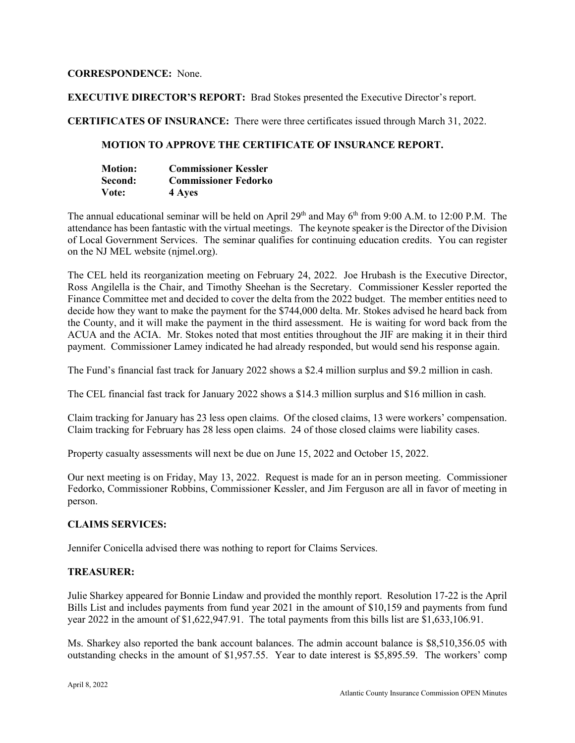# **CORRESPONDENCE:** None.

**EXECUTIVE DIRECTOR'S REPORT:** Brad Stokes presented the Executive Director's report.

**CERTIFICATES OF INSURANCE:** There were three certificates issued through March 31, 2022.

# **MOTION TO APPROVE THE CERTIFICATE OF INSURANCE REPORT.**

| <b>Motion:</b> | <b>Commissioner Kessler</b> |
|----------------|-----------------------------|
| Second:        | <b>Commissioner Fedorko</b> |
| Vote:          | 4 Ayes                      |

The annual educational seminar will be held on April  $29<sup>th</sup>$  and May 6<sup>th</sup> from 9:00 A.M. to 12:00 P.M. The attendance has been fantastic with the virtual meetings. The keynote speaker is the Director of the Division of Local Government Services. The seminar qualifies for continuing education credits. You can register on the NJ MEL website (njmel.org).

The CEL held its reorganization meeting on February 24, 2022. Joe Hrubash is the Executive Director, Ross Angilella is the Chair, and Timothy Sheehan is the Secretary. Commissioner Kessler reported the Finance Committee met and decided to cover the delta from the 2022 budget. The member entities need to decide how they want to make the payment for the \$744,000 delta. Mr. Stokes advised he heard back from the County, and it will make the payment in the third assessment. He is waiting for word back from the ACUA and the ACIA. Mr. Stokes noted that most entities throughout the JIF are making it in their third payment. Commissioner Lamey indicated he had already responded, but would send his response again.

The Fund's financial fast track for January 2022 shows a \$2.4 million surplus and \$9.2 million in cash.

The CEL financial fast track for January 2022 shows a \$14.3 million surplus and \$16 million in cash.

Claim tracking for January has 23 less open claims. Of the closed claims, 13 were workers' compensation. Claim tracking for February has 28 less open claims. 24 of those closed claims were liability cases.

Property casualty assessments will next be due on June 15, 2022 and October 15, 2022.

Our next meeting is on Friday, May 13, 2022. Request is made for an in person meeting. Commissioner Fedorko, Commissioner Robbins, Commissioner Kessler, and Jim Ferguson are all in favor of meeting in person.

# **CLAIMS SERVICES:**

Jennifer Conicella advised there was nothing to report for Claims Services.

# **TREASURER:**

Julie Sharkey appeared for Bonnie Lindaw and provided the monthly report. Resolution 17-22 is the April Bills List and includes payments from fund year 2021 in the amount of \$10,159 and payments from fund year 2022 in the amount of \$1,622,947.91. The total payments from this bills list are \$1,633,106.91.

Ms. Sharkey also reported the bank account balances. The admin account balance is \$8,510,356.05 with outstanding checks in the amount of \$1,957.55. Year to date interest is \$5,895.59. The workers' comp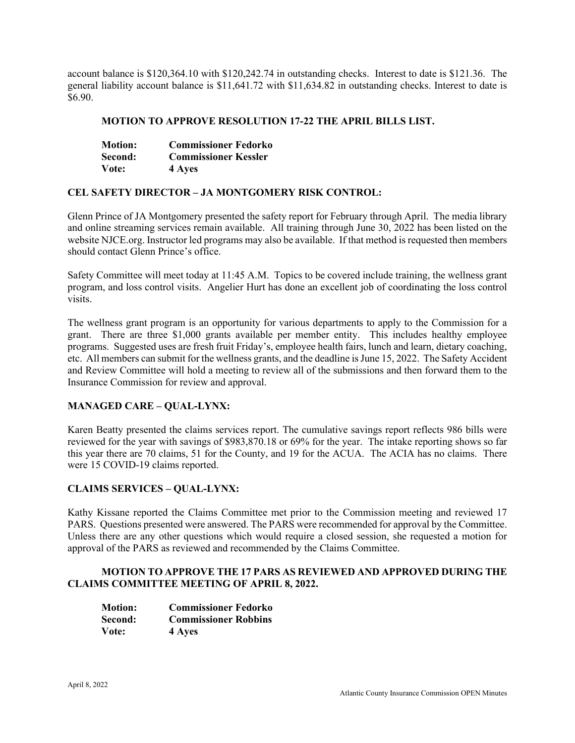account balance is \$120,364.10 with \$120,242.74 in outstanding checks. Interest to date is \$121.36. The general liability account balance is \$11,641.72 with \$11,634.82 in outstanding checks. Interest to date is \$6.90.

#### **MOTION TO APPROVE RESOLUTION 17-22 THE APRIL BILLS LIST.**

| <b>Motion:</b> | <b>Commissioner Fedorko</b> |
|----------------|-----------------------------|
| Second:        | <b>Commissioner Kessler</b> |
| Vote:          | 4 Ayes                      |

#### **CEL SAFETY DIRECTOR – JA MONTGOMERY RISK CONTROL:**

Glenn Prince of JA Montgomery presented the safety report for February through April. The media library and online streaming services remain available. All training through June 30, 2022 has been listed on the website NJCE.org. Instructor led programs may also be available. If that method is requested then members should contact Glenn Prince's office.

Safety Committee will meet today at 11:45 A.M. Topics to be covered include training, the wellness grant program, and loss control visits. Angelier Hurt has done an excellent job of coordinating the loss control visits.

The wellness grant program is an opportunity for various departments to apply to the Commission for a grant. There are three \$1,000 grants available per member entity. This includes healthy employee programs. Suggested uses are fresh fruit Friday's, employee health fairs, lunch and learn, dietary coaching, etc. All members can submit for the wellness grants, and the deadline is June 15, 2022. The Safety Accident and Review Committee will hold a meeting to review all of the submissions and then forward them to the Insurance Commission for review and approval.

# **MANAGED CARE – QUAL-LYNX:**

Karen Beatty presented the claims services report. The cumulative savings report reflects 986 bills were reviewed for the year with savings of \$983,870.18 or 69% for the year. The intake reporting shows so far this year there are 70 claims, 51 for the County, and 19 for the ACUA. The ACIA has no claims. There were 15 COVID-19 claims reported.

#### **CLAIMS SERVICES – QUAL-LYNX:**

Kathy Kissane reported the Claims Committee met prior to the Commission meeting and reviewed 17 PARS. Questions presented were answered. The PARS were recommended for approval by the Committee. Unless there are any other questions which would require a closed session, she requested a motion for approval of the PARS as reviewed and recommended by the Claims Committee.

# **MOTION TO APPROVE THE 17 PARS AS REVIEWED AND APPROVED DURING THE CLAIMS COMMITTEE MEETING OF APRIL 8, 2022.**

| <b>Motion:</b> | <b>Commissioner Fedorko</b> |
|----------------|-----------------------------|
| Second:        | <b>Commissioner Robbins</b> |
| Vote:          | 4 Ayes                      |